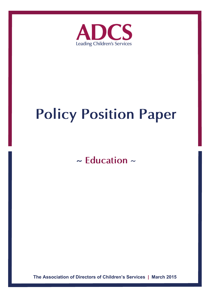

# **Policy Position Paper**

**~ Education** ~

**The Association of Directors of Children's Services | March 2015**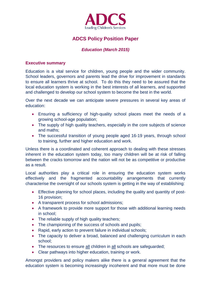

# **ADCS Policy Position Paper**

## *Education (March 2015)*

#### **Executive summary**

Education is a vital service for children, young people and the wider community. School leaders, governors and parents lead the drive for improvement in standards to ensure all learners thrive at school. To do this they need to be assured that the local education system is working in the best interests of all learners, and supported and challenged to develop our school system to become the best in the world.

Over the next decade we can anticipate severe pressures in several key areas of education:

- Ensuring a sufficiency of high-quality school places meet the needs of a growing school-age population;
- The supply of high quality teachers, especially in the core subjects of science and maths;
- The successful transition of young people aged 16-19 years, through school to training, further and higher education and work.

Unless there is a coordinated and coherent approach to dealing with these stresses inherent in the education system today, too many children will be at risk of falling between the cracks tomorrow and the nation will not be as competitive or productive as a result.

Local authorities play a critical role in ensuring the education system works effectively and the fragmented accountability arrangements that currently characterise the oversight of our schools system is getting in the way of establishing:

- Effective planning for school places, including the quality and quantity of post-16 provision;
- A transparent process for school admissions;
- A framework to provide more support for those with additional learning needs in school;
- The reliable supply of high quality teachers:
- The championing of the success of schools and pupils;
- Rapid, early action to prevent failure in individual schools;
- The capacity to deliver a broad, balanced and challenging curriculum in each school;
- The resources to ensure all children in all schools are safeguarded;
- Clear pathways into higher education, training or work.

Amongst providers and policy makers alike there is a general agreement that the education system is becoming increasingly incoherent and that more must be done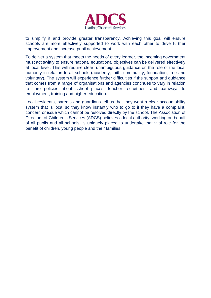

to simplify it and provide greater transparency. Achieving this goal will ensure schools are more effectively supported to work with each other to drive further improvement and increase pupil achievement.

To deliver a system that meets the needs of every learner, the incoming government must act swiftly to ensure national educational objectives can be delivered effectively at local level. This will require clear, unambiguous guidance on the role of the local authority in relation to all schools (academy, faith, community, foundation, free and voluntary). The system will experience further difficulties if the support and guidance that comes from a range of organisations and agencies continues to vary in relation to core policies about school places, teacher recruitment and pathways to employment, training and higher education.

Local residents, parents and guardians tell us that they want a clear accountability system that is local so they know instantly who to go to if they have a complaint, concern or issue which cannot be resolved directly by the school. The Association of Directors of Children's Services (ADCS) believes a local authority, working on behalf of all pupils and all schools, is uniquely placed to undertake that vital role for the benefit of children, young people and their families.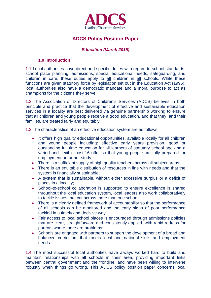

# **ADCS Policy Position Paper**

## *Education (March 2015)*

#### **1.0 Introduction**

1.1 Local authorities have direct and specific duties with regard to school standards, school place planning, admissions, special educational needs, safeguarding, and children in care; these duties apply to all children in all schools. While these functions are given statutory force by legislation set out in the Education Act (1996), local authorities also have a democratic mandate and a moral purpose to act as champions for the citizens they serve.

1.2 The Association of Directors of Children's Services (ADCS) believes in both principle and practice that the development of effective and sustainable education services in a locality are best delivered via genuine partnership working to ensure that all children and young people receive a good education, and that they, and their families, are treated fairly and equitably.

1.3 The characteristics of an effective education system are as follows:

- It offers high quality educational opportunities, available locally for all children and young people including: effective early years provision, good or outstanding full time education for all learners of statutory school age and a varied and flexible post-16 offer so that young people are fully prepared for employment or further study;
- There is a sufficient supply of high quality teachers across all subject areas;
- There is an equitable distribution of resources in line with needs and that the system is financially sustainable;
- A system that is sustainable, without either excessive surplus or a deficit of places in a locality;
- School-to-school collaboration is supported to ensure excellence is shared throughout the local education system, local leaders also work collaboratively to tackle issues that cut across more than one school;
- There is a clearly defined framework of accountability so that the performance of all schools can be monitored and the early signs of poor performance tackled in a timely and decisive way;
- Fair access to local school places is encouraged through admissions policies that are clear, straightforward and consistently applied, with rapid redress for parents where there are problems;
- Schools are engaged with partners to support the development of a broad and balanced curriculum that meets local and national skills and employment needs.

1.4 The most successful local authorities have always worked hard to build and maintain relationships with all schools in their area, providing important links between central government and the frontline, and have been willing to intervene robustly when things go wrong. This ADCS policy position paper concerns local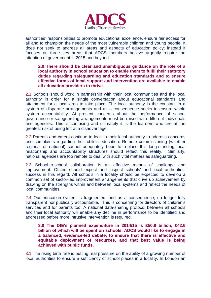

authorities' responsibilities to promote educational excellence, ensure fair access for all and to champion the needs of the most vulnerable children and young people. It does not seek to address all areas and aspects of education policy; instead it focuses on three key areas that ADCS members believe urgently require the attention of government in 2015 and beyond.

**2.0 There should be clear and unambiguous guidance on the role of a local authority in school education to enable them to fulfil their statutory duties regarding safeguarding and education standards and to ensure effective forms of local support and intervention are available to enable all education providers to thrive.**

2.1 Schools should work in partnership with their local communities and the local authority in order for a single conversation about educational standards and attainment for a local area to take place. The local authority is the constant in a system of disparate arrangements and as a consequence seeks to ensure whole system accountability. At present concerns about the performance of school governance or safeguarding arrangements must be raised with different individuals and agencies. This is confusing and ultimately it is the learners who are at the greatest risk of being left at a disadvantage.

2.2 Parents and carers continue to look to their local authority to address concerns and complaints regarding their child's education. Remote commissioning (whether regional or national) cannot adequately hope to replace this long-standing local relationship and accountability structures should reflect this reality. Similarly, national agencies are too remote to deal with such vital matters as safeguarding.

2.3 School-to-school collaboration is an effective means of challenge and improvement. Ofsted should expect and inspect schools' and local authorities' success in this regard. All schools in a locality should be expected to develop a common set of sector-led improvement arrangements that drive up achievement by drawing on the strengths within and between local systems and reflect the needs of local communities.

2.4 Our education system is fragmented, and as a consequence, no longer fully transparent nor publically accountable. This is concerning for directors of children's services and for parents too. A national data-sharing protocol between all schools and their local authority will enable any decline in performance to be identified and addressed before more intrusive intervention is required.

**3.0 The DfE's planned expenditure in 2014/15 is £50.9 billion, £42.6 billion of which will be spent on schools. ADCS would like to engage in a balanced, evidence-led debate, to ensure that there is effective and equitable deployment of resources, and that best value is being achieved with public funds.** 

3.1 The rising birth rate is putting real pressure on the ability of a growing number of local authorities to ensure a sufficiency of school places in a locality. In London an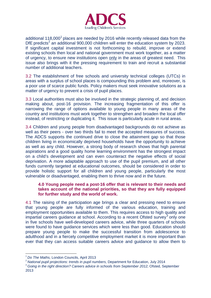

additional [1](#page-5-0)18,000<sup>1</sup> places are needed by 2016 while recently released data from the DfE predicts<sup>[2](#page-5-1)</sup> an additional 900,000 children will enter the education system by 2023. If significant capital investment is not forthcoming to rebuild, improve or extend existing schools then local and national government must work together, as a matter of urgency, to ensure new institutions open only in the areas of greatest need. This issue also brings with it the pressing requirement to train and recruit a substantial number of additional teachers.

3.2 The establishment of free schools and university technical colleges (UTCs) in areas with a surplus of school places is compounding this problem and, moreover, is a poor use of scarce public funds. Policy makers must seek innovative solutions as a matter of urgency to prevent a crisis of pupil places.

3.3 Local authorities must also be involved in the strategic planning of, and decision making about, post-16 provision. The increasing fragmentation of this offer is narrowing the range of options available to young people in many areas of the country and institutions must work together to strengthen and broaden the local offer instead, of restricting or duplicating it. This issue is particularly acute in rural areas.

3.4 Children and young people from disadvantaged backgrounds do not achieve as well as their peers - over two thirds fail to meet the accepted measures of success. The ADCS supports the continued drive to close the attainment gap so that those children living in economically deprived households have the opportunity to achieve as well as any child. However, a strong body of research shows that high parental aspirations and a good quality home learning environment has the strongest impact on a child's development and can even counteract the negative effects of social deprivation. A more adaptable approach to use of the pupil premium, and all other funds currently targeted at educational outcomes, should be considered in order to provide holistic support for all children and young people, particularly the most vulnerable or disadvantaged, enabling them to thrive now and in the future.

### **4.0 Young people need a post-16 offer that is relevant to their needs and takes account of the national priorities, so that they are fully equipped for further study and the world of work.**

4.1 The raising of the participation age brings a clear and pressing need to ensure that young people are fully informed of the various education, training and employment opportunities available to them. This requires access to high quality and impartial careers guidance at school. According to a recent Ofsted survey<sup>[3](#page-5-2)</sup> only one in five schools have well-developed careers advice, while three quarters of schools were found to have guidance services which were less than good. Education should prepare young people to make the successful transition from adolescence to adulthood and in a fiercely competitive employment market it is more important than ever that they can access suitable careers advice and guidance to allow them to

<span id="page-5-2"></span><span id="page-5-1"></span>

<span id="page-5-0"></span><sup>&</sup>lt;sup>1</sup> Do The Maths, London Councils, April 2013<br><sup>2</sup> National pupil projections: trends in pupil numbers, Department for Education, July 2014<br><sup>3</sup> Going in the right direction? Careers advice in schools from September 2012, O 2013